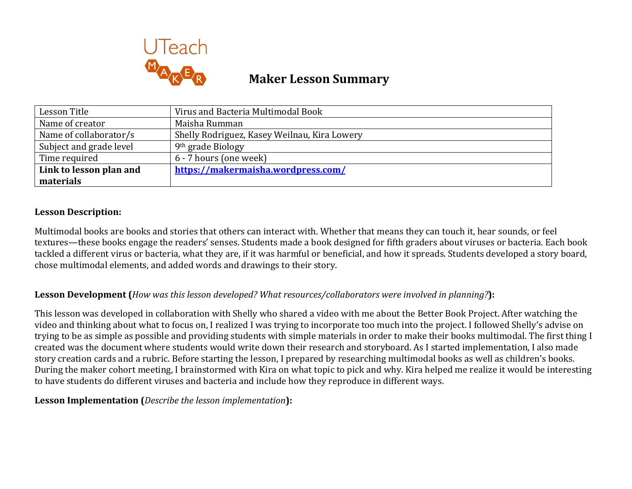

# **Maker Lesson Summary**

| Lesson Title            | Virus and Bacteria Multimodal Book           |
|-------------------------|----------------------------------------------|
| Name of creator         | Maisha Rumman                                |
| Name of collaborator/s  | Shelly Rodriguez, Kasey Weilnau, Kira Lowery |
| Subject and grade level | 9 <sup>th</sup> grade Biology                |
| Time required           | 6 - 7 hours (one week)                       |
| Link to lesson plan and | https://makermaisha.wordpress.com/           |
| materials               |                                              |

## **Lesson Description:**

Multimodal books are books and stories that others can interact with. Whether that means they can touch it, hear sounds, or feel textures—these books engage the readers' senses. Students made a book designed for fifth graders about viruses or bacteria. Each book tackled a different virus or bacteria, what they are, if it was harmful or beneficial, and how it spreads. Students developed a story board, chose multimodal elements, and added words and drawings to their story.

## **Lesson Development (***How was this lesson developed?* **What resources/collaborators were involved in planning?):**

This lesson was developed in collaboration with Shelly who shared a video with me about the Better Book Project. After watching the video and thinking about what to focus on, I realized I was trying to incorporate too much into the project. I followed Shelly's advise on trying to be as simple as possible and providing students with simple materials in order to make their books multimodal. The first thing I created was the document where students would write down their research and storyboard. As I started implementation, I also made story creation cards and a rubric. Before starting the lesson, I prepared by researching multimodal books as well as children's books. During the maker cohort meeting, I brainstormed with Kira on what topic to pick and why. Kira helped me realize it would be interesting to have students do different viruses and bacteria and include how they reproduce in different ways.

## **Lesson Implementation** (*Describe the lesson implementation*):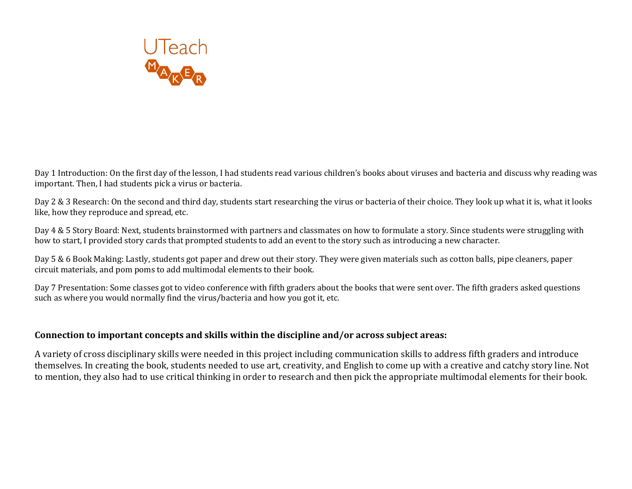

Day 1 Introduction: On the first day of the lesson, I had students read various children's books about viruses and bacteria and discuss why reading was important. Then, I had students pick a virus or bacteria.

Day 2 & 3 Research: On the second and third day, students start researching the virus or bacteria of their choice. They look up what it is, what it looks like, how they reproduce and spread, etc.

Day 4 & 5 Story Board: Next, students brainstormed with partners and classmates on how to formulate a story. Since students were struggling with how to start, I provided story cards that prompted students to add an event to the story such as introducing a new character.

Day 5 & 6 Book Making: Lastly, students got paper and drew out their story. They were given materials such as cotton balls, pipe cleaners, paper circuit materials, and pom poms to add multimodal elements to their book.

Day 7 Presentation: Some classes got to video conference with fifth graders about the books that were sent over. The fifth graders asked questions such as where you would normally find the virus/bacteria and how you got it, etc.

#### Connection to important concepts and skills within the discipline and/or across subject areas:

A variety of cross disciplinary skills were needed in this project including communication skills to address fifth graders and introduce themselves. In creating the book, students needed to use art, creativity, and English to come up with a creative and catchy story line. Not to mention, they also had to use critical thinking in order to research and then pick the appropriate multimodal elements for their book.